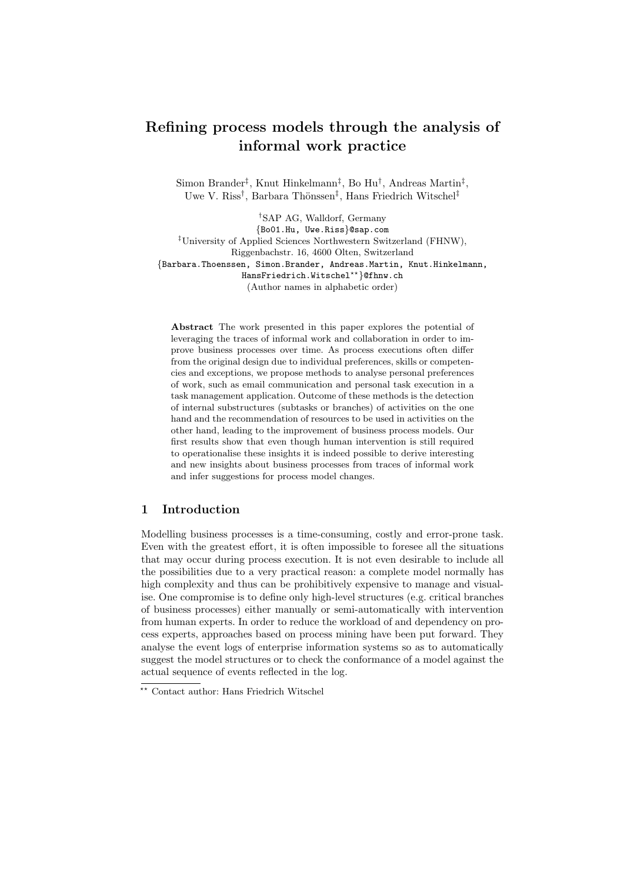# **Refining process models through the analysis of informal work practice**

Simon Brander*‡* , Knut Hinkelmann*‡* , Bo Hu*†* , Andreas Martin*‡* , Uwe V. Riss<sup>†</sup>, Barbara Thönssen<sup>‡</sup>, Hans Friedrich Witschel<sup>‡</sup>

*†*SAP AG, Walldorf, Germany *{*Bo01.Hu, Uwe.Riss*}*@sap.com *‡*University of Applied Sciences Northwestern Switzerland (FHNW), Riggenbachstr. 16, 4600 Olten, Switzerland *{*Barbara.Thoenssen, Simon.Brander, Andreas.Martin, Knut.Hinkelmann, HansFriedrich.Witschel*⋆⋆}*@fhnw.ch (Author names in alphabetic order)

**Abstract** The work presented in this paper explores the potential of leveraging the traces of informal work and collaboration in order to improve business processes over time. As process executions often differ from the original design due to individual preferences, skills or competencies and exceptions, we propose methods to analyse personal preferences of work, such as email communication and personal task execution in a task management application. Outcome of these methods is the detection of internal substructures (subtasks or branches) of activities on the one hand and the recommendation of resources to be used in activities on the other hand, leading to the improvement of business process models. Our first results show that even though human intervention is still required to operationalise these insights it is indeed possible to derive interesting and new insights about business processes from traces of informal work and infer suggestions for process model changes.

# **1 Introduction**

Modelling business processes is a time-consuming, costly and error-prone task. Even with the greatest effort, it is often impossible to foresee all the situations that may occur during process execution. It is not even desirable to include all the possibilities due to a very practical reason: a complete model normally has high complexity and thus can be prohibitively expensive to manage and visualise. One compromise is to define only high-level structures (e.g. critical branches of business processes) either manually or semi-automatically with intervention from human experts. In order to reduce the workload of and dependency on process experts, approaches based on process mining have been put forward. They analyse the event logs of enterprise information systems so as to automatically suggest the model structures or to check the conformance of a model against the actual sequence of events reflected in the log.

*<sup>⋆⋆</sup>* Contact author: Hans Friedrich Witschel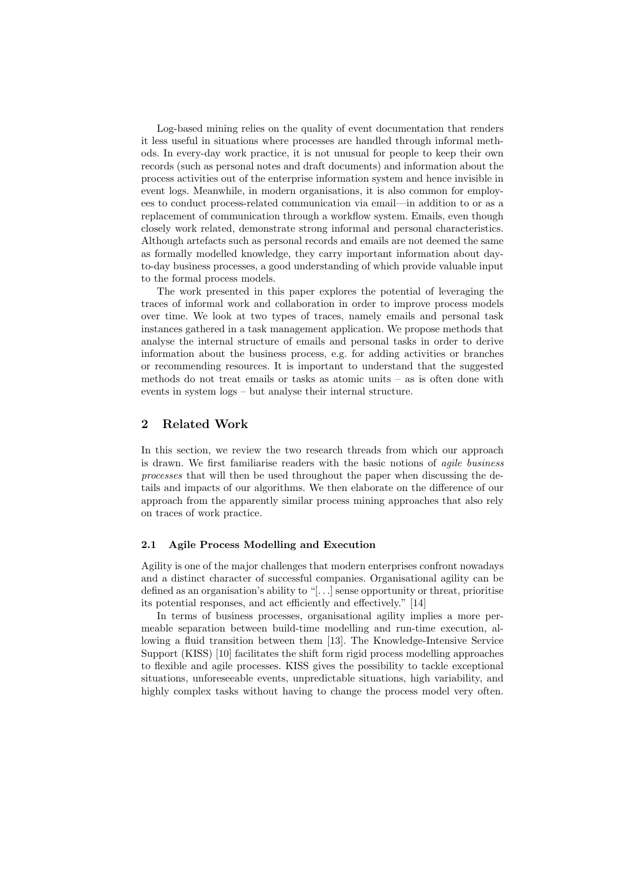Log-based mining relies on the quality of event documentation that renders it less useful in situations where processes are handled through informal methods. In every-day work practice, it is not unusual for people to keep their own records (such as personal notes and draft documents) and information about the process activities out of the enterprise information system and hence invisible in event logs. Meanwhile, in modern organisations, it is also common for employees to conduct process-related communication via email—in addition to or as a replacement of communication through a workflow system. Emails, even though closely work related, demonstrate strong informal and personal characteristics. Although artefacts such as personal records and emails are not deemed the same as formally modelled knowledge, they carry important information about dayto-day business processes, a good understanding of which provide valuable input to the formal process models.

The work presented in this paper explores the potential of leveraging the traces of informal work and collaboration in order to improve process models over time. We look at two types of traces, namely emails and personal task instances gathered in a task management application. We propose methods that analyse the internal structure of emails and personal tasks in order to derive information about the business process, e.g. for adding activities or branches or recommending resources. It is important to understand that the suggested methods do not treat emails or tasks as atomic units – as is often done with events in system logs – but analyse their internal structure.

# **2 Related Work**

In this section, we review the two research threads from which our approach is drawn. We first familiarise readers with the basic notions of *agile business processes* that will then be used throughout the paper when discussing the details and impacts of our algorithms. We then elaborate on the difference of our approach from the apparently similar process mining approaches that also rely on traces of work practice.

### **2.1 Agile Process Modelling and Execution**

Agility is one of the major challenges that modern enterprises confront nowadays and a distinct character of successful companies. Organisational agility can be defined as an organisation's ability to "[*. . .*] sense opportunity or threat, prioritise its potential responses, and act efficiently and effectively." [14]

In terms of business processes, organisational agility implies a more permeable separation between build-time modelling and run-time execution, allowing a fluid transition between them [13]. The Knowledge-Intensive Service Support (KISS) [10] facilitates the shift form rigid process modelling approaches to flexible and agile processes. KISS gives the possibility to tackle exceptional situations, unforeseeable events, unpredictable situations, high variability, and highly complex tasks without having to change the process model very often.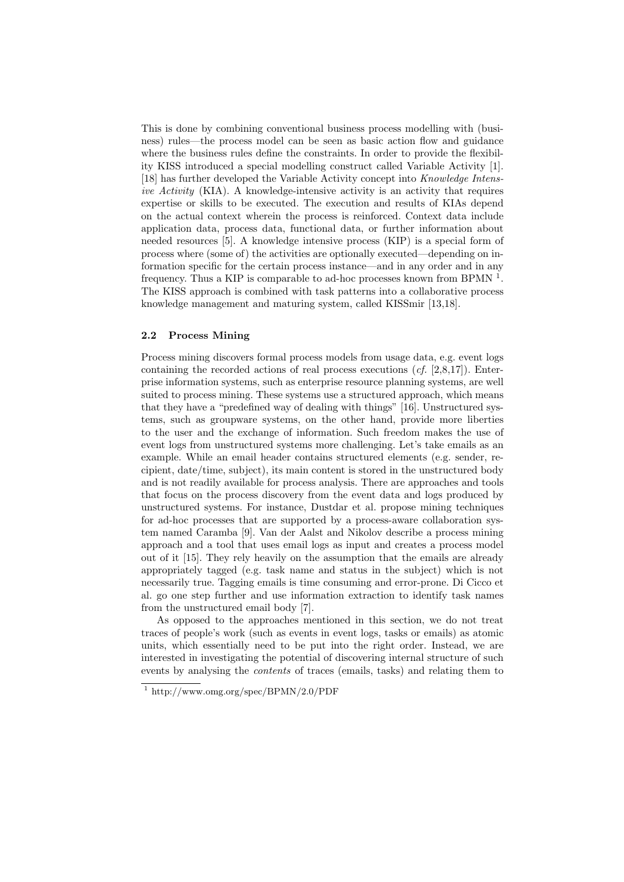This is done by combining conventional business process modelling with (business) rules—the process model can be seen as basic action flow and guidance where the business rules define the constraints. In order to provide the flexibility KISS introduced a special modelling construct called Variable Activity [1]. [18] has further developed the Variable Activity concept into *Knowledge Intensive Activity* (KIA). A knowledge-intensive activity is an activity that requires expertise or skills to be executed. The execution and results of KIAs depend on the actual context wherein the process is reinforced. Context data include application data, process data, functional data, or further information about needed resources [5]. A knowledge intensive process (KIP) is a special form of process where (some of) the activities are optionally executed—depending on information specific for the certain process instance—and in any order and in any frequency. Thus a KIP is comparable to ad-hoc processes known from BPMN<sup>1</sup>. The KISS approach is combined with task patterns into a collaborative process knowledge management and maturing system, called KISSmir [13,18].

# **2.2 Process Mining**

Process mining discovers formal process models from usage data, e.g. event logs containing the recorded actions of real process executions (*cf.* [2,8,17]). Enterprise information systems, such as enterprise resource planning systems, are well suited to process mining. These systems use a structured approach, which means that they have a "predefined way of dealing with things" [16]. Unstructured systems, such as groupware systems, on the other hand, provide more liberties to the user and the exchange of information. Such freedom makes the use of event logs from unstructured systems more challenging. Let's take emails as an example. While an email header contains structured elements (e.g. sender, recipient, date/time, subject), its main content is stored in the unstructured body and is not readily available for process analysis. There are approaches and tools that focus on the process discovery from the event data and logs produced by unstructured systems. For instance, Dustdar et al. propose mining techniques for ad-hoc processes that are supported by a process-aware collaboration system named Caramba [9]. Van der Aalst and Nikolov describe a process mining approach and a tool that uses email logs as input and creates a process model out of it [15]. They rely heavily on the assumption that the emails are already appropriately tagged (e.g. task name and status in the subject) which is not necessarily true. Tagging emails is time consuming and error-prone. Di Cicco et al. go one step further and use information extraction to identify task names from the unstructured email body [7].

As opposed to the approaches mentioned in this section, we do not treat traces of people's work (such as events in event logs, tasks or emails) as atomic units, which essentially need to be put into the right order. Instead, we are interested in investigating the potential of discovering internal structure of such events by analysing the *contents* of traces (emails, tasks) and relating them to

 $1 \text{ http://www.omg.org/spec/BPMN/2.0/PDF}$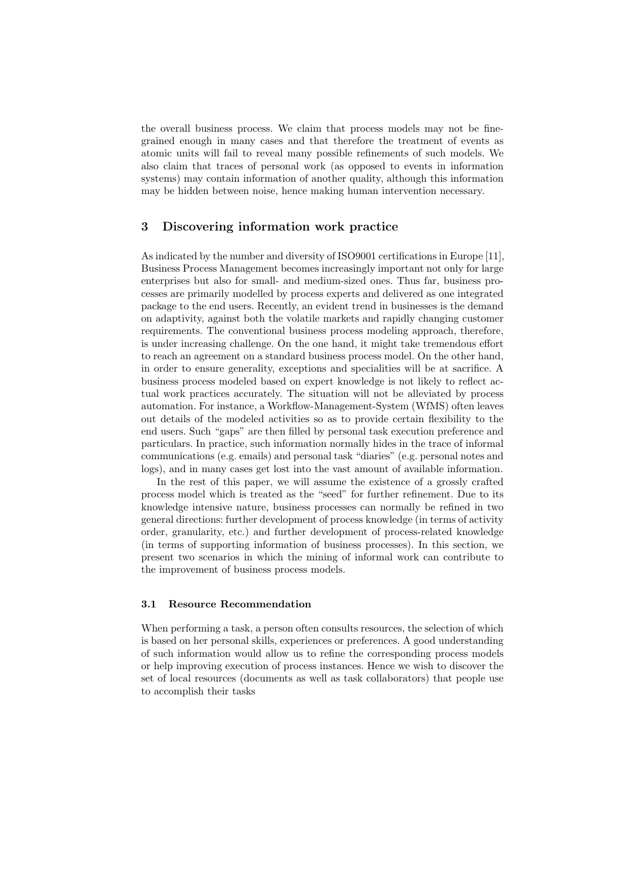the overall business process. We claim that process models may not be finegrained enough in many cases and that therefore the treatment of events as atomic units will fail to reveal many possible refinements of such models. We also claim that traces of personal work (as opposed to events in information systems) may contain information of another quality, although this information may be hidden between noise, hence making human intervention necessary.

# **3 Discovering information work practice**

As indicated by the number and diversity of ISO9001 certifications in Europe [11], Business Process Management becomes increasingly important not only for large enterprises but also for small- and medium-sized ones. Thus far, business processes are primarily modelled by process experts and delivered as one integrated package to the end users. Recently, an evident trend in businesses is the demand on adaptivity, against both the volatile markets and rapidly changing customer requirements. The conventional business process modeling approach, therefore, is under increasing challenge. On the one hand, it might take tremendous effort to reach an agreement on a standard business process model. On the other hand, in order to ensure generality, exceptions and specialities will be at sacrifice. A business process modeled based on expert knowledge is not likely to reflect actual work practices accurately. The situation will not be alleviated by process automation. For instance, a Workflow-Management-System (WfMS) often leaves out details of the modeled activities so as to provide certain flexibility to the end users. Such "gaps" are then filled by personal task execution preference and particulars. In practice, such information normally hides in the trace of informal communications (e.g. emails) and personal task "diaries" (e.g. personal notes and logs), and in many cases get lost into the vast amount of available information.

In the rest of this paper, we will assume the existence of a grossly crafted process model which is treated as the "seed" for further refinement. Due to its knowledge intensive nature, business processes can normally be refined in two general directions: further development of process knowledge (in terms of activity order, granularity, etc.) and further development of process-related knowledge (in terms of supporting information of business processes). In this section, we present two scenarios in which the mining of informal work can contribute to the improvement of business process models.

## **3.1 Resource Recommendation**

When performing a task, a person often consults resources, the selection of which is based on her personal skills, experiences or preferences. A good understanding of such information would allow us to refine the corresponding process models or help improving execution of process instances. Hence we wish to discover the set of local resources (documents as well as task collaborators) that people use to accomplish their tasks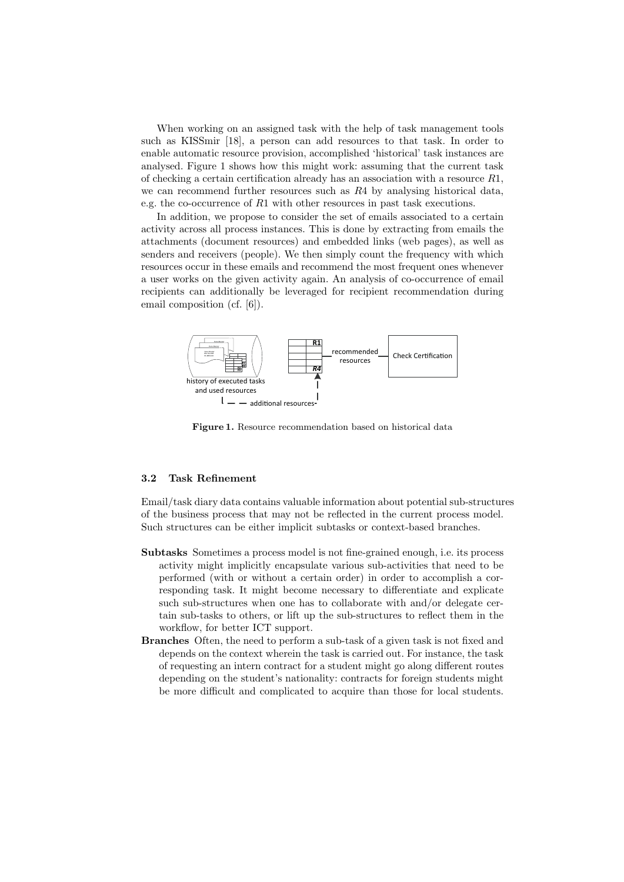When working on an assigned task with the help of task management tools such as KISSmir [18], a person can add resources to that task. In order to enable automatic resource provision, accomplished 'historical' task instances are analysed. Figure 1 shows how this might work: assuming that the current task of checking a certain certification already has an association with a resource *R*1, we can recommend further resources such as *R*4 by analysing historical data, e.g. the co-occurrence of *R*1 with other resources in past task executions.

In addition, we propose to consider the set of emails associated to a certain activity across all process instances. This is done by extracting from emails the attachments (document resources) and embedded links (web pages), as well as senders and receivers (people). We then simply count the frequency with which resources occur in these emails and recommend the most frequent ones whenever a user works on the given activity again. An analysis of co-occurrence of email recipients can additionally be leveraged for recipient recommendation during email composition (cf. [6]).



**Figure 1.** Resource recommendation based on historical data

#### **3.2 Task Refinement**

Email/task diary data contains valuable information about potential sub-structures of the business process that may not be reflected in the current process model. Such structures can be either implicit subtasks or context-based branches.

- **Subtasks** Sometimes a process model is not fine-grained enough, i.e. its process activity might implicitly encapsulate various sub-activities that need to be performed (with or without a certain order) in order to accomplish a corresponding task. It might become necessary to differentiate and explicate such sub-structures when one has to collaborate with and/or delegate certain sub-tasks to others, or lift up the sub-structures to reflect them in the workflow, for better ICT support.
- **Branches** Often, the need to perform a sub-task of a given task is not fixed and depends on the context wherein the task is carried out. For instance, the task of requesting an intern contract for a student might go along different routes depending on the student's nationality: contracts for foreign students might be more difficult and complicated to acquire than those for local students.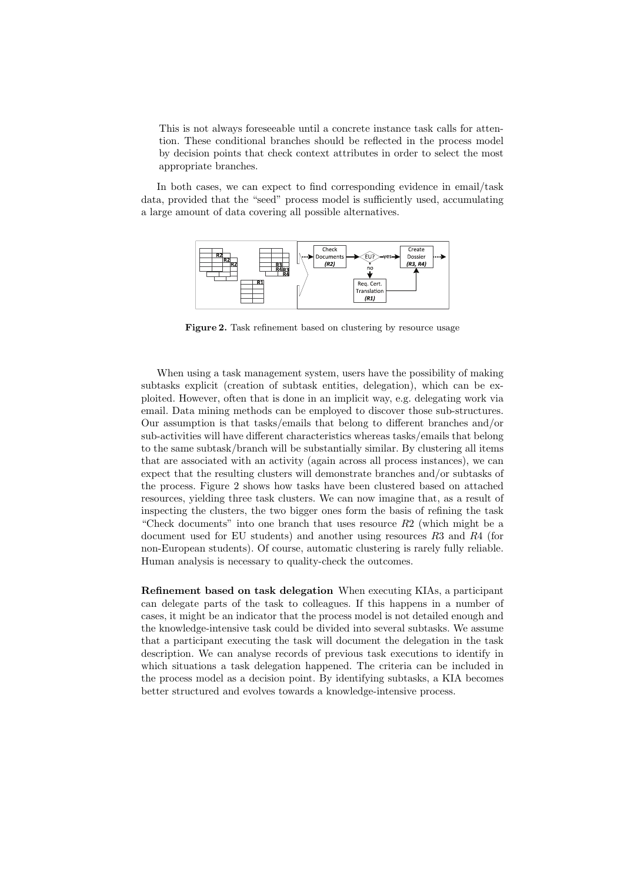This is not always foreseeable until a concrete instance task calls for attention. These conditional branches should be reflected in the process model by decision points that check context attributes in order to select the most appropriate branches.

In both cases, we can expect to find corresponding evidence in email/task data, provided that the "seed" process model is sufficiently used, accumulating a large amount of data covering all possible alternatives.



**Figure 2.** Task refinement based on clustering by resource usage

When using a task management system, users have the possibility of making subtasks explicit (creation of subtask entities, delegation), which can be exploited. However, often that is done in an implicit way, e.g. delegating work via email. Data mining methods can be employed to discover those sub-structures. Our assumption is that tasks/emails that belong to different branches and/or sub-activities will have different characteristics whereas tasks/emails that belong to the same subtask/branch will be substantially similar. By clustering all items that are associated with an activity (again across all process instances), we can expect that the resulting clusters will demonstrate branches and/or subtasks of the process. Figure 2 shows how tasks have been clustered based on attached resources, yielding three task clusters. We can now imagine that, as a result of inspecting the clusters, the two bigger ones form the basis of refining the task "Check documents" into one branch that uses resource *R*2 (which might be a document used for EU students) and another using resources *R*3 and *R*4 (for non-European students). Of course, automatic clustering is rarely fully reliable. Human analysis is necessary to quality-check the outcomes.

**Refinement based on task delegation** When executing KIAs, a participant can delegate parts of the task to colleagues. If this happens in a number of cases, it might be an indicator that the process model is not detailed enough and the knowledge-intensive task could be divided into several subtasks. We assume that a participant executing the task will document the delegation in the task description. We can analyse records of previous task executions to identify in which situations a task delegation happened. The criteria can be included in the process model as a decision point. By identifying subtasks, a KIA becomes better structured and evolves towards a knowledge-intensive process.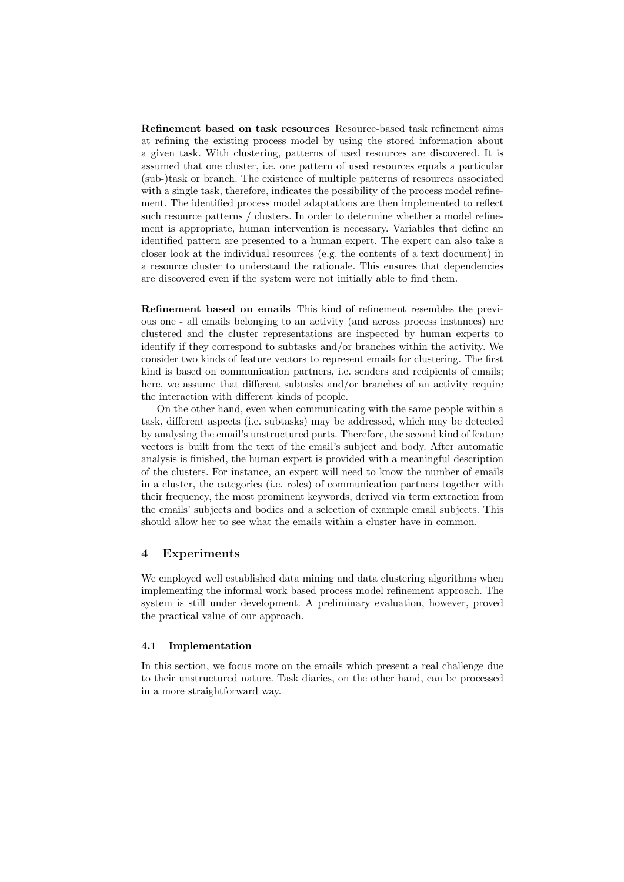**Refinement based on task resources** Resource-based task refinement aims at refining the existing process model by using the stored information about a given task. With clustering, patterns of used resources are discovered. It is assumed that one cluster, i.e. one pattern of used resources equals a particular (sub-)task or branch. The existence of multiple patterns of resources associated with a single task, therefore, indicates the possibility of the process model refinement. The identified process model adaptations are then implemented to reflect such resource patterns / clusters. In order to determine whether a model refinement is appropriate, human intervention is necessary. Variables that define an identified pattern are presented to a human expert. The expert can also take a closer look at the individual resources (e.g. the contents of a text document) in a resource cluster to understand the rationale. This ensures that dependencies are discovered even if the system were not initially able to find them.

**Refinement based on emails** This kind of refinement resembles the previous one - all emails belonging to an activity (and across process instances) are clustered and the cluster representations are inspected by human experts to identify if they correspond to subtasks and/or branches within the activity. We consider two kinds of feature vectors to represent emails for clustering. The first kind is based on communication partners, i.e. senders and recipients of emails; here, we assume that different subtasks and/or branches of an activity require the interaction with different kinds of people.

On the other hand, even when communicating with the same people within a task, different aspects (i.e. subtasks) may be addressed, which may be detected by analysing the email's unstructured parts. Therefore, the second kind of feature vectors is built from the text of the email's subject and body. After automatic analysis is finished, the human expert is provided with a meaningful description of the clusters. For instance, an expert will need to know the number of emails in a cluster, the categories (i.e. roles) of communication partners together with their frequency, the most prominent keywords, derived via term extraction from the emails' subjects and bodies and a selection of example email subjects. This should allow her to see what the emails within a cluster have in common.

# **4 Experiments**

We employed well established data mining and data clustering algorithms when implementing the informal work based process model refinement approach. The system is still under development. A preliminary evaluation, however, proved the practical value of our approach.

# **4.1 Implementation**

In this section, we focus more on the emails which present a real challenge due to their unstructured nature. Task diaries, on the other hand, can be processed in a more straightforward way.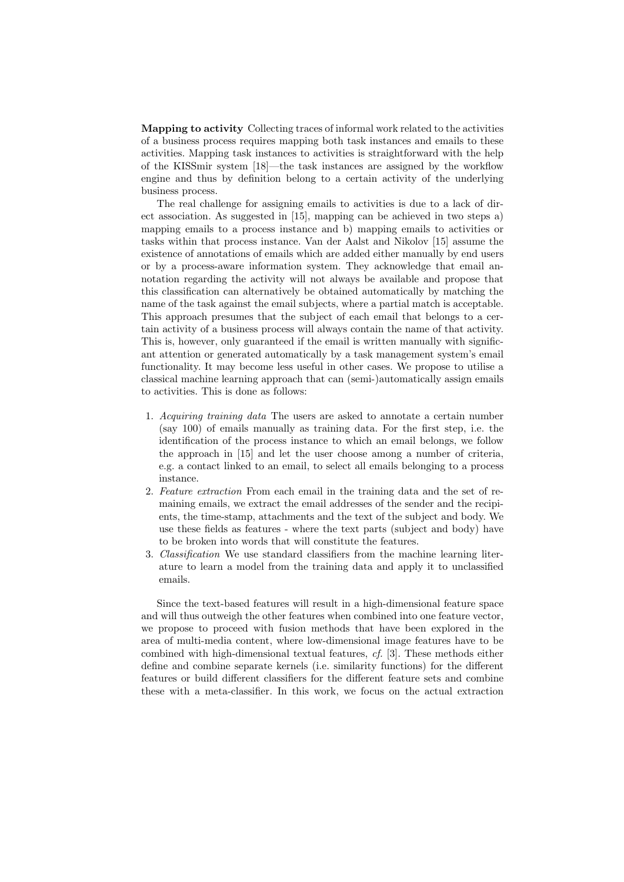**Mapping to activity** Collecting traces of informal work related to the activities of a business process requires mapping both task instances and emails to these activities. Mapping task instances to activities is straightforward with the help of the KISSmir system [18]—the task instances are assigned by the workflow engine and thus by definition belong to a certain activity of the underlying business process.

The real challenge for assigning emails to activities is due to a lack of direct association. As suggested in [15], mapping can be achieved in two steps a) mapping emails to a process instance and b) mapping emails to activities or tasks within that process instance. Van der Aalst and Nikolov [15] assume the existence of annotations of emails which are added either manually by end users or by a process-aware information system. They acknowledge that email annotation regarding the activity will not always be available and propose that this classification can alternatively be obtained automatically by matching the name of the task against the email subjects, where a partial match is acceptable. This approach presumes that the subject of each email that belongs to a certain activity of a business process will always contain the name of that activity. This is, however, only guaranteed if the email is written manually with significant attention or generated automatically by a task management system's email functionality. It may become less useful in other cases. We propose to utilise a classical machine learning approach that can (semi-)automatically assign emails to activities. This is done as follows:

- 1. *Acquiring training data* The users are asked to annotate a certain number (say 100) of emails manually as training data. For the first step, i.e. the identification of the process instance to which an email belongs, we follow the approach in [15] and let the user choose among a number of criteria, e.g. a contact linked to an email, to select all emails belonging to a process instance.
- 2. *Feature extraction* From each email in the training data and the set of remaining emails, we extract the email addresses of the sender and the recipients, the time-stamp, attachments and the text of the subject and body. We use these fields as features - where the text parts (subject and body) have to be broken into words that will constitute the features.
- 3. *Classification* We use standard classifiers from the machine learning literature to learn a model from the training data and apply it to unclassified emails.

Since the text-based features will result in a high-dimensional feature space and will thus outweigh the other features when combined into one feature vector, we propose to proceed with fusion methods that have been explored in the area of multi-media content, where low-dimensional image features have to be combined with high-dimensional textual features, *cf.* [3]. These methods either define and combine separate kernels (i.e. similarity functions) for the different features or build different classifiers for the different feature sets and combine these with a meta-classifier. In this work, we focus on the actual extraction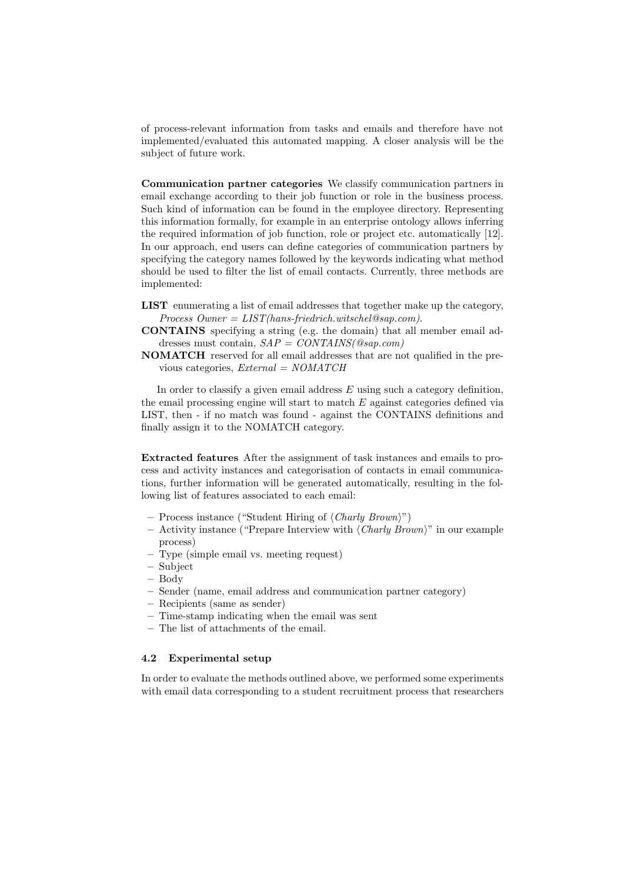of process-relevant information from tasks and emails and therefore have not implemented/evaluated this automated mapping. A closer analysis will be the subject of future work.

**Communication partner categories** We classify communication partners in email exchange according to their job function or role in the business process. Such kind of information can be found in the employee directory. Representing this information formally, for example in an enterprise ontology allows inferring the required information of job function, role or project etc. automatically [12]. In our approach, end users can define categories of communication partners by specifying the category names followed by the keywords indicating what method should be used to filter the list of email contacts. Currently, three methods are implemented:

- **LIST** enumerating a list of email addresses that together make up the category, *Process Owner = LIST(hans-friedrich.witschel@sap.com)*.
- **CONTAINS** specifying a string (e.g. the domain) that all member email addresses must contain, *SAP = CONTAINS(@sap.com)*
- **NOMATCH** reserved for all email addresses that are not qualified in the previous categories, *External = NOMATCH*

In order to classify a given email address *E* using such a category definition, the email processing engine will start to match *E* against categories defined via LIST, then - if no match was found - against the CONTAINS definitions and finally assign it to the NOMATCH category.

**Extracted features** After the assignment of task instances and emails to process and activity instances and categorisation of contacts in email communications, further information will be generated automatically, resulting in the following list of features associated to each email:

- **–** Process instance ("Student Hiring of *⟨Charly Brown⟩*")
- **–** Activity instance ("Prepare Interview with *⟨Charly Brown⟩*" in our example process)
- **–** Type (simple email vs. meeting request)
- **–** Subject
- **–** Body
- **–** Sender (name, email address and communication partner category)
- **–** Recipients (same as sender)
- **–** Time-stamp indicating when the email was sent
- **–** The list of attachments of the email.

# **4.2 Experimental setup**

In order to evaluate the methods outlined above, we performed some experiments with email data corresponding to a student recruitment process that researchers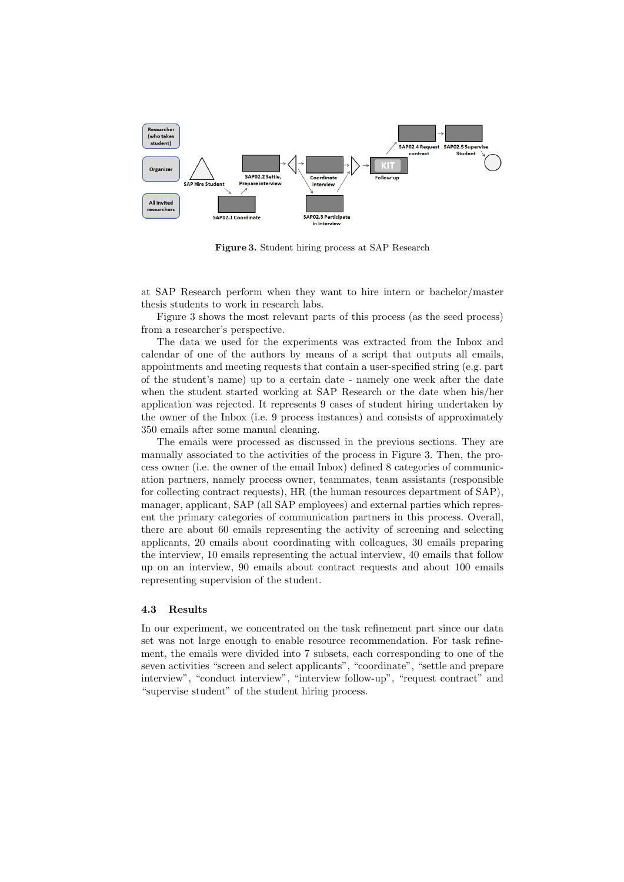

**Figure 3.** Student hiring process at SAP Research

at SAP Research perform when they want to hire intern or bachelor/master thesis students to work in research labs.

Figure 3 shows the most relevant parts of this process (as the seed process) from a researcher's perspective.

The data we used for the experiments was extracted from the Inbox and calendar of one of the authors by means of a script that outputs all emails, appointments and meeting requests that contain a user-specified string (e.g. part of the student's name) up to a certain date - namely one week after the date when the student started working at SAP Research or the date when his/her application was rejected. It represents 9 cases of student hiring undertaken by the owner of the Inbox (i.e. 9 process instances) and consists of approximately 350 emails after some manual cleaning.

The emails were processed as discussed in the previous sections. They are manually associated to the activities of the process in Figure 3. Then, the process owner (i.e. the owner of the email Inbox) defined 8 categories of communication partners, namely process owner, teammates, team assistants (responsible for collecting contract requests), HR (the human resources department of SAP), manager, applicant, SAP (all SAP employees) and external parties which represent the primary categories of communication partners in this process. Overall, there are about 60 emails representing the activity of screening and selecting applicants, 20 emails about coordinating with colleagues, 30 emails preparing the interview, 10 emails representing the actual interview, 40 emails that follow up on an interview, 90 emails about contract requests and about 100 emails representing supervision of the student.

#### **4.3 Results**

In our experiment, we concentrated on the task refinement part since our data set was not large enough to enable resource recommendation. For task refinement, the emails were divided into 7 subsets, each corresponding to one of the seven activities "screen and select applicants", "coordinate", "settle and prepare interview", "conduct interview", "interview follow-up", "request contract" and "supervise student" of the student hiring process.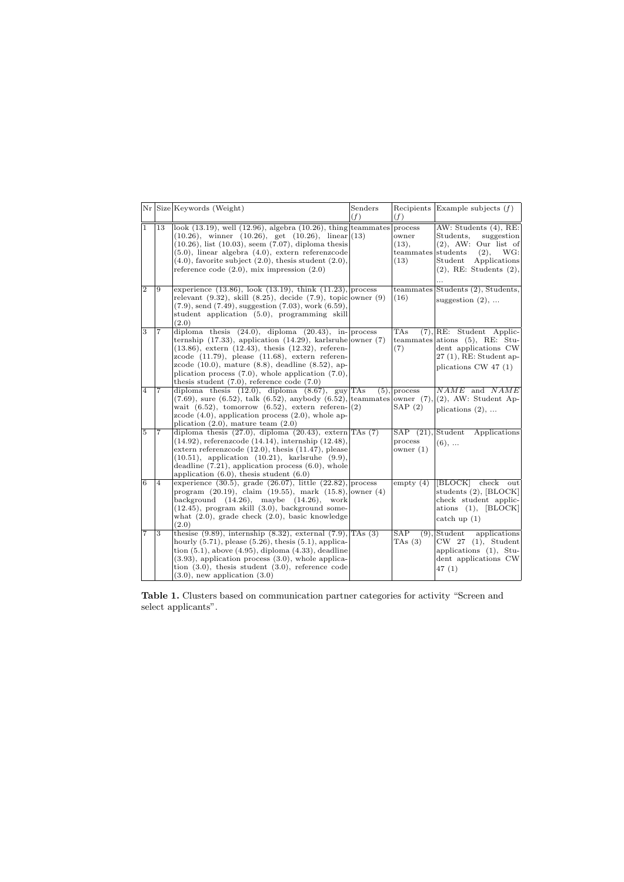|                |                | Nr Size Keywords (Weight)                                                                                                                                                                                                                                                                                                                                                                                                     | Senders<br>(f) | (f)                                                     | Recipients Example subjects $(f)$                                                                                                                     |
|----------------|----------------|-------------------------------------------------------------------------------------------------------------------------------------------------------------------------------------------------------------------------------------------------------------------------------------------------------------------------------------------------------------------------------------------------------------------------------|----------------|---------------------------------------------------------|-------------------------------------------------------------------------------------------------------------------------------------------------------|
| $\mathbf{1}$   | 13             | look $(13.19)$ , well $(12.96)$ , algebra $(10.26)$ , thing teammates<br>$(10.26)$ , winner $(10.26)$ , get $(10.26)$ , linear $(13)$<br>$(10.26)$ , list $(10.03)$ , seem $(7.07)$ , diploma thesis<br>$(5.0)$ , linear algebra $(4.0)$ , extern referenzcode<br>$(4.0)$ , favorite subject $(2.0)$ , thesis student $(2.0)$ ,<br>reference code $(2.0)$ , mix impression $(2.0)$                                            |                | process<br>owner<br>(13),<br>teammates students<br>(13) | AW: Students (4), RE:<br>Students,<br>suggestion<br>$(2)$ , AW: Our list of<br>(2),<br>WG:<br>Student<br>Applications<br>$(2)$ , RE: Students $(2)$ , |
| $\overline{2}$ | 9              | experience $(13.86)$ , look $(13.19)$ , think $(11.23)$ , process<br>relevant $(9.32)$ , skill $(8.25)$ , decide $(7.9)$ , topic owner $(9)$<br>$(7.9)$ , send $(7.49)$ , suggestion $(7.03)$ , work $(6.59)$ ,<br>student application (5.0), programming skill<br>(2.0)                                                                                                                                                      |                | (16)                                                    | teammates   Students (2), Students,<br>suggestion $(2)$ ,                                                                                             |
| 3              | 7              | diploma thesis $(24.0)$ , diploma $(20.43)$ , in- $ process$<br>ternship $(17.33)$ , application $(14.29)$ , karlsruhe owner $(7)$<br>$(13.86)$ , extern $(12.43)$ , thesis $(12.32)$ , referen-<br>zcode (11.79), please (11.68), extern referen-<br>zcode $(10.0)$ , mature $(8.8)$ , deadline $(8.52)$ , ap-<br>plication process $(7.0)$ , whole application $(7.0)$ ,<br>thesis student $(7.0)$ , reference code $(7.0)$ |                | <b>TAs</b><br>(7)                                       | $(7),$ RE: Student Applic-<br>teammates ations $(5)$ , RE: Stu-<br>dent applications CW<br>$27(1)$ , RE: Student ap-<br>plications $CW$ 47 $(1)$      |
| $\overline{4}$ | $\overline{7}$ | diploma thesis $(12.0)$ , diploma $(8.67)$ , guy TAs<br>$(7.69)$ , sure $(6.52)$ , talk $(6.52)$ , anybody $(6.52)$ , teammates owner $(7)$ ,<br>wait $(6.52)$ , tomorrow $(6.52)$ , extern referen- $(2)$<br>zcode $(4.0)$ , application process $(2.0)$ , whole ap-<br>plication $(2.0)$ , mature team $(2.0)$                                                                                                              | (5),           | process<br>SAP $(2)$                                    | $NAME$ and $NAME$<br>$(2)$ , AW: Student Ap-<br>plications $(2)$ ,                                                                                    |
| 5              | 7              | diploma thesis $(27.0)$ , diploma $(20.43)$ , extern TAs $(7)$<br>$(14.92)$ , referenzcode $(14.14)$ , internship $(12.48)$ ,<br>extern referenzcode $(12.0)$ , thesis $(11.47)$ , please<br>$(10.51)$ , application $(10.21)$ , karlsruhe $(9.9)$ ,<br>deadline $(7.21)$ , application process $(6.0)$ , whole<br>application $(6.0)$ , thesis student $(6.0)$                                                               |                | SAP<br>(21),<br>process<br>owner (1)                    | Student<br>Applications<br>$(6), \ldots$                                                                                                              |
| 6              | $\overline{4}$ | experience $(30.5)$ , grade $(26.07)$ , little $(22.82)$ , process<br>program $(20.19)$ , claim $(19.55)$ , mark $(15.8)$ , owner $(4)$<br>background $(14.26)$ , maybe $(14.26)$ , work<br>$(12.45)$ , program skill $(3.0)$ , background some-<br>what $(2.0)$ , grade check $(2.0)$ , basic knowledge<br>(2.0)                                                                                                             |                | empty $(4)$                                             | [BLOCK]<br>check<br>out<br>students (2), [BLOCK]<br>check student applic-<br>ations $(1)$ , $[BLOCK]$<br>catch up $(1)$                               |
| 7              | 3              | thesise $(9.89)$ , internship $(8.32)$ , external $(7.9)$ , TAs $(3)$<br>hourly $(5.71)$ , please $(5.26)$ , thesis $(5.1)$ , applica-<br>tion $(5.1)$ , above $(4.95)$ , diploma $(4.33)$ , deadline<br>$(3.93)$ , application process $(3.0)$ , whole applica-<br>tion $(3.0)$ , thesis student $(3.0)$ , reference code<br>$(3.0)$ , new application $(3.0)$                                                               |                | SAP<br>(9)<br>TAs $(3)$                                 | Student<br>applications<br>$CW$ 27 $(1)$ , Student<br>applications $(1)$ , Stu-<br>dent applications CW<br>47(1)                                      |

**Table 1.** Clusters based on communication partner categories for activity "Screen and select applicants".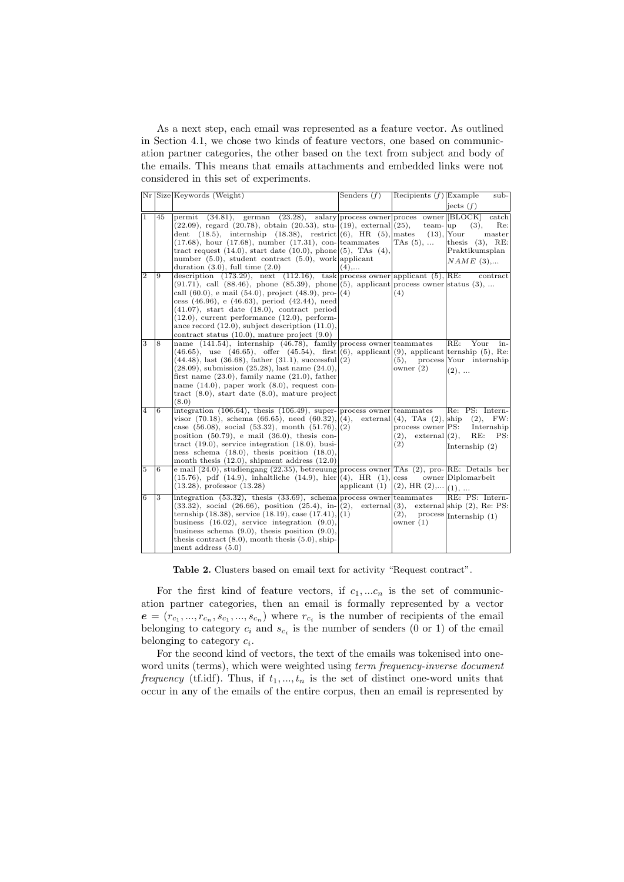As a next step, each email was represented as a feature vector. As outlined in Section 4.1, we chose two kinds of feature vectors, one based on communication partner categories, the other based on the text from subject and body of the emails. This means that emails attachments and embedded links were not considered in this set of experiments.

|                |                | Nr Size Keywords (Weight)                                                                                           | Senders $(f)$   | Recipients $(f) $ Example                   | sub-                          |
|----------------|----------------|---------------------------------------------------------------------------------------------------------------------|-----------------|---------------------------------------------|-------------------------------|
|                |                |                                                                                                                     |                 |                                             | jects $(f)$                   |
| 1              | 45             | permit $(34.81)$ , german $(23.28)$ , salary process owner proces owner [BLOCK]                                     |                 |                                             | $\operatorname{catch}$        |
|                |                |                                                                                                                     |                 |                                             |                               |
|                |                | $(22.09)$ , regard $(20.78)$ , obtain $(20.53)$ , stu- $ (19)$ , external $ (25)$ ,                                 |                 | $team-lup$                                  | (3),<br>Re:                   |
|                |                | dent $(18.5)$ , internship $(18.38)$ , restrict $(6)$ , HR $(5)$ , mates                                            |                 | (13),                                       | Your<br>master                |
|                |                | $(17.68)$ , hour $(17.68)$ , number $(17.31)$ , con-<br>teammates                                                   |                 | TAs $(5), $                                 | thesis $(3)$ , RE:            |
|                |                | tract request $(14.0)$ , start date $(10.0)$ , phone $(5)$ , TAs $(4)$ ,                                            |                 |                                             | Praktikumsplan                |
|                |                | number $(5.0)$ , student contract $(5.0)$ , work applicant                                                          |                 |                                             | NAME(3),                      |
|                |                | duration $(3.0)$ , full time $(2.0)$                                                                                | $(4)$           |                                             |                               |
| $\overline{2}$ | 9              | description $(173.29)$ , next $(112.16)$ , task process owner applicant $(5)$ , RE:                                 |                 |                                             | contract                      |
|                |                | $(91.71)$ , call $(88.46)$ , phone $(85.39)$ , phone $(5)$ , applicant process owner status $(3)$ ,                 |                 |                                             |                               |
|                |                | call $(60.0)$ , e mail $(54.0)$ , project $(48.9)$ , pro- $(4)$                                                     |                 | (4)                                         |                               |
|                |                | cess (46.96), e (46.63), period (42.44), need                                                                       |                 |                                             |                               |
|                |                | $(41.07)$ , start date $(18.0)$ , contract period                                                                   |                 |                                             |                               |
|                |                | $(12.0)$ , current performance $(12.0)$ , perform-                                                                  |                 |                                             |                               |
|                |                | ance record $(12.0)$ , subject description $(11.0)$ ,                                                               |                 |                                             |                               |
|                |                | contract status $(10.0)$ , mature project $(9.0)$                                                                   |                 |                                             |                               |
| $\overline{3}$ | $\overline{8}$ | name $(141.54)$ , internship $(46.78)$ , family process owner teammates                                             |                 |                                             | RE:<br>Your<br>in-            |
|                |                | $(46.65)$ , use $(46.65)$ , offer $(45.54)$ , first $(6)$ , applicant $(9)$ , applicant $\ell$ ternship $(5)$ , Re: |                 |                                             |                               |
|                |                | $(44.48)$ , last $(36.68)$ , father $(31.1)$ , successful $(2)$                                                     |                 | $(5)$ ,                                     | process Your internship       |
|                |                | $(28.09)$ , submission $(25.28)$ , last name $(24.0)$ ,                                                             |                 | owner $(2)$                                 | (2),                          |
|                |                | first name $(23.0)$ , family name $(21.0)$ , father                                                                 |                 |                                             |                               |
|                |                | name $(14.0)$ , paper work $(8.0)$ , request con-                                                                   |                 |                                             |                               |
|                |                | tract $(8.0)$ , start date $(8.0)$ , mature project                                                                 |                 |                                             |                               |
|                |                | (8.0)                                                                                                               |                 |                                             |                               |
| 4              | 6              | integration $(106.64)$ , thesis $(106.49)$ , super-process owner teammates                                          |                 |                                             | Re: PS: Intern-               |
|                |                | visor $(70.18)$ , schema $(66.65)$ , need $(60.32)$ , $(4)$ ,                                                       |                 | $external(4), \text{ TAs} (2), \text{ship}$ | (2),<br>FW:                   |
|                |                | case $(56.08)$ , social $(53.32)$ , month $(51.76)$ , $(2)$                                                         |                 | process owner PS:                           | Internship                    |
|                |                | position $(50.79)$ , e mail $(36.0)$ , thesis con-                                                                  |                 | $(2), \quad \text{external}(2),$            | RE:<br>PS:                    |
|                |                | tract $(19.0)$ , service integration $(18.0)$ , busi-                                                               |                 | (2)                                         | Internship $(2)$              |
|                |                | ness schema $(18.0)$ , thesis position $(18.0)$ ,                                                                   |                 |                                             |                               |
|                |                | month thesis $(12.0)$ , shipment address $(12.0)$                                                                   |                 |                                             |                               |
| 5              | 6              | e mail $(24.0)$ , studiengang $(22.35)$ , betreuung process owner TAs $(2)$ , pro-RE: Details ber                   |                 |                                             |                               |
|                |                | $(15.76)$ , pdf $(14.9)$ , inhaltliche $(14.9)$ , hier $ (4)$ , HR $(1)$ , cess                                     |                 |                                             | owner Diplomarbeit            |
|                |                | $(13.28)$ , professor $(13.28)$                                                                                     | applicant $(1)$ | $ (2)$ , HR $(2)$ , $ (1)$ ,                |                               |
| 6              | 3              | integration $(53.32)$ , thesis $(33.69)$ , schema process owner teammates                                           |                 |                                             | RE: PS: Intern-               |
|                |                | $(33.32)$ , social $(26.66)$ , position $(25.4)$ , in- $ (2)$ , external $ (3)$ ,                                   |                 |                                             | external ship $(2)$ , Re: PS: |
|                |                | ternship $(18.38)$ , service $(18.19)$ , case $(17.41)$ , $(1)$                                                     |                 | (2),                                        | $process $ Internship $(1)$   |
|                |                | business $(16.02)$ , service integration $(9.0)$ ,                                                                  |                 | owner $(1)$                                 |                               |
|                |                | business schema $(9.0)$ , thesis position $(9.0)$ ,                                                                 |                 |                                             |                               |
|                |                | thesis contract $(8.0)$ , month thesis $(5.0)$ , ship-                                                              |                 |                                             |                               |
|                |                | ment address $(5.0)$                                                                                                |                 |                                             |                               |

**Table 2.** Clusters based on email text for activity "Request contract".

For the first kind of feature vectors, if  $c_1, ... c_n$  is the set of communication partner categories, then an email is formally represented by a vector  $e = (r_{c_1},...,r_{c_n},s_{c_1},...,s_{c_n})$  where  $r_{c_i}$  is the number of recipients of the email belonging to category  $c_i$  and  $s_{c_i}$  is the number of senders  $(0 \text{ or } 1)$  of the email belonging to category *c<sup>i</sup>* .

For the second kind of vectors, the text of the emails was tokenised into oneword units (terms), which were weighted using *term frequency-inverse document frequency* (tf.idf). Thus, if  $t_1, ..., t_n$  is the set of distinct one-word units that occur in any of the emails of the entire corpus, then an email is represented by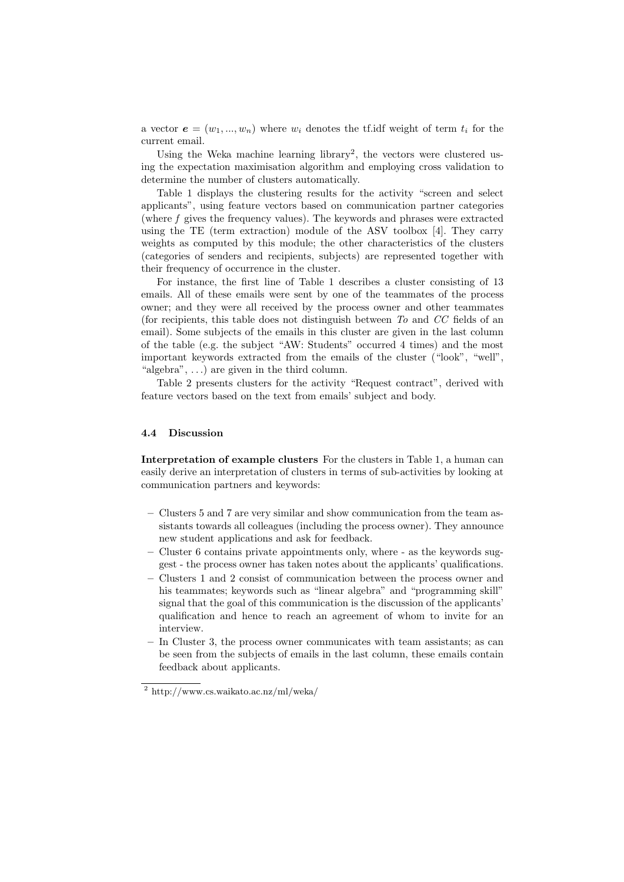a vector  $e = (w_1, ..., w_n)$  where  $w_i$  denotes the tf.idf weight of term  $t_i$  for the current email.

Using the Weka machine learning library<sup>2</sup>, the vectors were clustered using the expectation maximisation algorithm and employing cross validation to determine the number of clusters automatically.

Table 1 displays the clustering results for the activity "screen and select applicants", using feature vectors based on communication partner categories (where *f* gives the frequency values). The keywords and phrases were extracted using the TE (term extraction) module of the ASV toolbox [4]. They carry weights as computed by this module; the other characteristics of the clusters (categories of senders and recipients, subjects) are represented together with their frequency of occurrence in the cluster.

For instance, the first line of Table 1 describes a cluster consisting of 13 emails. All of these emails were sent by one of the teammates of the process owner; and they were all received by the process owner and other teammates (for recipients, this table does not distinguish between *To* and *CC* fields of an email). Some subjects of the emails in this cluster are given in the last column of the table (e.g. the subject "AW: Students" occurred 4 times) and the most important keywords extracted from the emails of the cluster ("look", "well", "algebra", *. . .*) are given in the third column.

Table 2 presents clusters for the activity "Request contract", derived with feature vectors based on the text from emails' subject and body.

#### **4.4 Discussion**

**Interpretation of example clusters** For the clusters in Table 1, a human can easily derive an interpretation of clusters in terms of sub-activities by looking at communication partners and keywords:

- **–** Clusters 5 and 7 are very similar and show communication from the team assistants towards all colleagues (including the process owner). They announce new student applications and ask for feedback.
- **–** Cluster 6 contains private appointments only, where as the keywords suggest - the process owner has taken notes about the applicants' qualifications.
- **–** Clusters 1 and 2 consist of communication between the process owner and his teammates; keywords such as "linear algebra" and "programming skill" signal that the goal of this communication is the discussion of the applicants' qualification and hence to reach an agreement of whom to invite for an interview.
- **–** In Cluster 3, the process owner communicates with team assistants; as can be seen from the subjects of emails in the last column, these emails contain feedback about applicants.

<sup>2</sup> http://www.cs.waikato.ac.nz/ml/weka/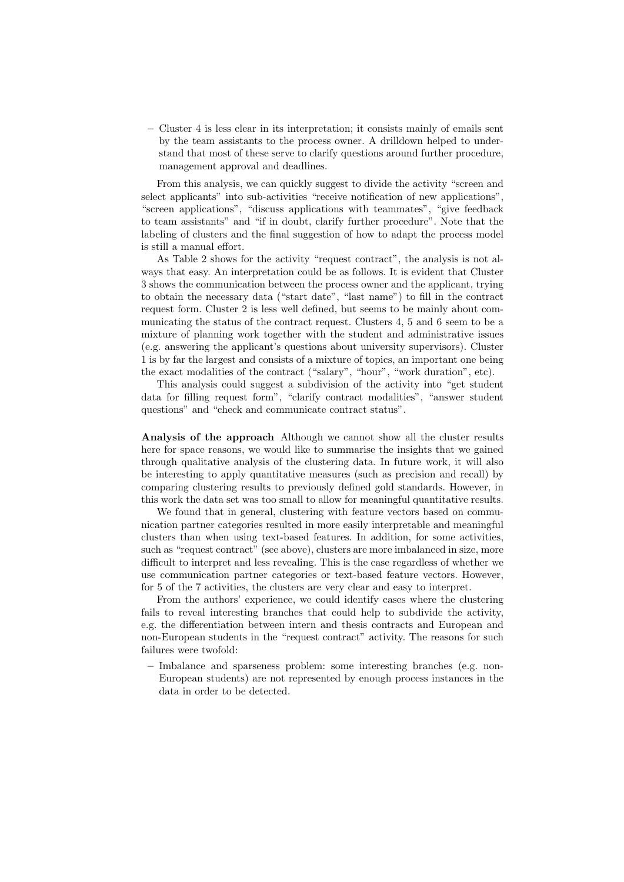**–** Cluster 4 is less clear in its interpretation; it consists mainly of emails sent by the team assistants to the process owner. A drilldown helped to understand that most of these serve to clarify questions around further procedure, management approval and deadlines.

From this analysis, we can quickly suggest to divide the activity "screen and select applicants" into sub-activities "receive notification of new applications", "screen applications", "discuss applications with teammates", "give feedback to team assistants" and "if in doubt, clarify further procedure". Note that the labeling of clusters and the final suggestion of how to adapt the process model is still a manual effort.

As Table 2 shows for the activity "request contract", the analysis is not always that easy. An interpretation could be as follows. It is evident that Cluster 3 shows the communication between the process owner and the applicant, trying to obtain the necessary data ("start date", "last name") to fill in the contract request form. Cluster 2 is less well defined, but seems to be mainly about communicating the status of the contract request. Clusters 4, 5 and 6 seem to be a mixture of planning work together with the student and administrative issues (e.g. answering the applicant's questions about university supervisors). Cluster 1 is by far the largest and consists of a mixture of topics, an important one being the exact modalities of the contract ("salary", "hour", "work duration", etc).

This analysis could suggest a subdivision of the activity into "get student data for filling request form", "clarify contract modalities", "answer student questions" and "check and communicate contract status".

**Analysis of the approach** Although we cannot show all the cluster results here for space reasons, we would like to summarise the insights that we gained through qualitative analysis of the clustering data. In future work, it will also be interesting to apply quantitative measures (such as precision and recall) by comparing clustering results to previously defined gold standards. However, in this work the data set was too small to allow for meaningful quantitative results.

We found that in general, clustering with feature vectors based on communication partner categories resulted in more easily interpretable and meaningful clusters than when using text-based features. In addition, for some activities, such as "request contract" (see above), clusters are more imbalanced in size, more difficult to interpret and less revealing. This is the case regardless of whether we use communication partner categories or text-based feature vectors. However, for 5 of the 7 activities, the clusters are very clear and easy to interpret.

From the authors' experience, we could identify cases where the clustering fails to reveal interesting branches that could help to subdivide the activity, e.g. the differentiation between intern and thesis contracts and European and non-European students in the "request contract" activity. The reasons for such failures were twofold:

**–** Imbalance and sparseness problem: some interesting branches (e.g. non-European students) are not represented by enough process instances in the data in order to be detected.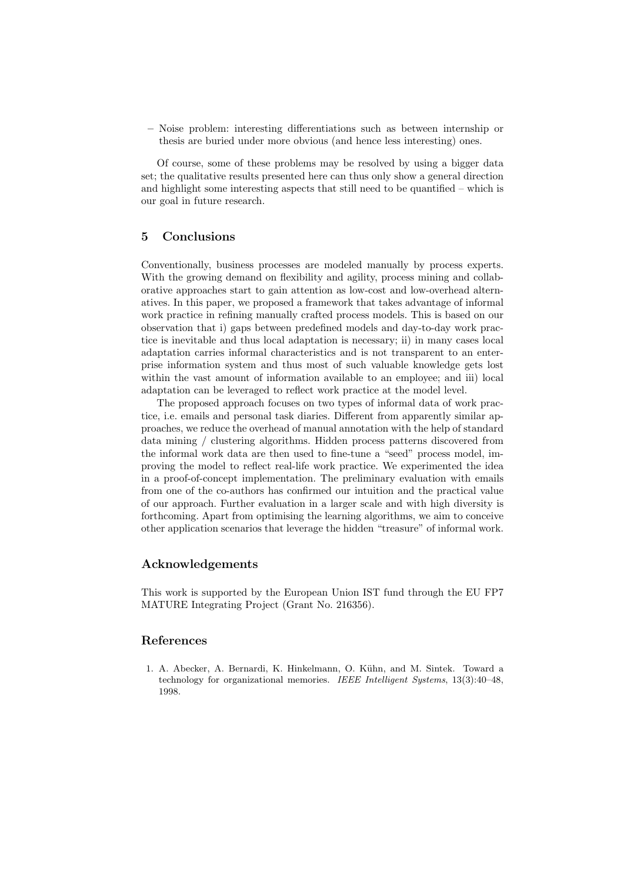**–** Noise problem: interesting differentiations such as between internship or thesis are buried under more obvious (and hence less interesting) ones.

Of course, some of these problems may be resolved by using a bigger data set; the qualitative results presented here can thus only show a general direction and highlight some interesting aspects that still need to be quantified – which is our goal in future research.

# **5 Conclusions**

Conventionally, business processes are modeled manually by process experts. With the growing demand on flexibility and agility, process mining and collaborative approaches start to gain attention as low-cost and low-overhead alternatives. In this paper, we proposed a framework that takes advantage of informal work practice in refining manually crafted process models. This is based on our observation that i) gaps between predefined models and day-to-day work practice is inevitable and thus local adaptation is necessary; ii) in many cases local adaptation carries informal characteristics and is not transparent to an enterprise information system and thus most of such valuable knowledge gets lost within the vast amount of information available to an employee; and iii) local adaptation can be leveraged to reflect work practice at the model level.

The proposed approach focuses on two types of informal data of work practice, i.e. emails and personal task diaries. Different from apparently similar approaches, we reduce the overhead of manual annotation with the help of standard data mining / clustering algorithms. Hidden process patterns discovered from the informal work data are then used to fine-tune a "seed" process model, improving the model to reflect real-life work practice. We experimented the idea in a proof-of-concept implementation. The preliminary evaluation with emails from one of the co-authors has confirmed our intuition and the practical value of our approach. Further evaluation in a larger scale and with high diversity is forthcoming. Apart from optimising the learning algorithms, we aim to conceive other application scenarios that leverage the hidden "treasure" of informal work.

## **Acknowledgements**

This work is supported by the European Union IST fund through the EU FP7 MATURE Integrating Project (Grant No. 216356).

# **References**

1. A. Abecker, A. Bernardi, K. Hinkelmann, O. Kühn, and M. Sintek. Toward a technology for organizational memories. *IEEE Intelligent Systems*, 13(3):40–48, 1998.